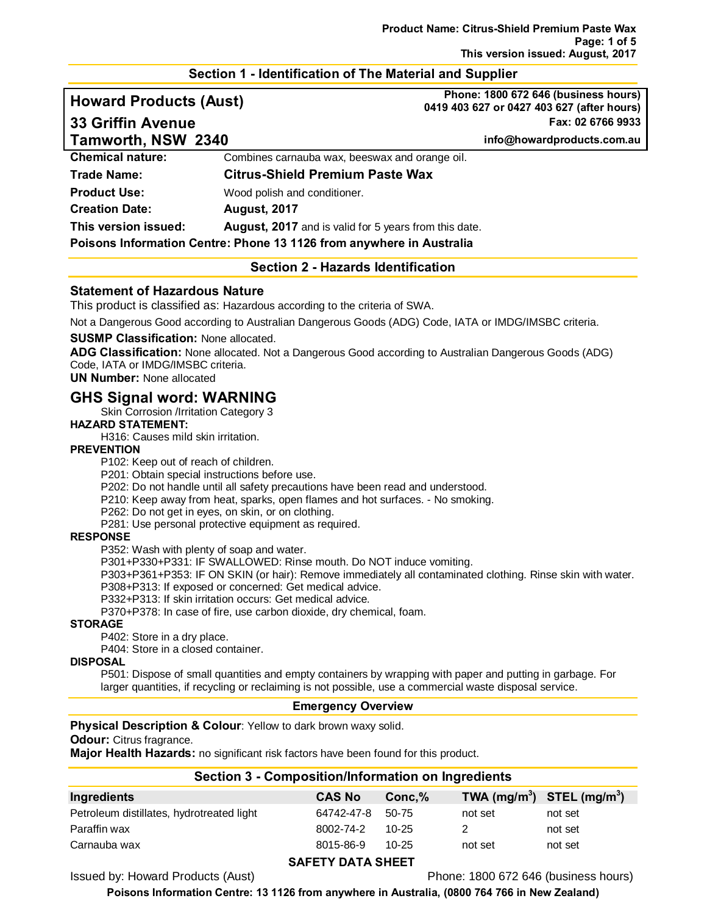## **Section 1 - Identification of The Material and Supplier**

**Howard Products (Aust) Phone: 1800 672 646 (business hours) 0419 403 627 or 0427 403 627 (after hours) 33 Griffin Avenue Fax: 02 6766 9933**

| Tamworth, NSW 2340      |                                                                      | info@howardproducts.com.au |
|-------------------------|----------------------------------------------------------------------|----------------------------|
| <b>Chemical nature:</b> | Combines carnauba wax, beeswax and orange oil.                       |                            |
| <b>Trade Name:</b>      | <b>Citrus-Shield Premium Paste Wax</b>                               |                            |
| <b>Product Use:</b>     | Wood polish and conditioner.                                         |                            |
| <b>Creation Date:</b>   | <b>August, 2017</b>                                                  |                            |
| This version issued:    | <b>August, 2017</b> and is valid for 5 years from this date.         |                            |
|                         | Poisons Information Centre: Phone 13 1126 from anywhere in Australia |                            |

## **Section 2 - Hazards Identification**

## **Statement of Hazardous Nature**

This product is classified as: Hazardous according to the criteria of SWA.

Not a Dangerous Good according to Australian Dangerous Goods (ADG) Code, IATA or IMDG/IMSBC criteria.

#### **SUSMP Classification:** None allocated.

**ADG Classification:** None allocated. Not a Dangerous Good according to Australian Dangerous Goods (ADG) Code, IATA or IMDG/IMSBC criteria.

## **UN Number:** None allocated

## **GHS Signal word: WARNING**

Skin Corrosion /Irritation Category 3

## **HAZARD STATEMENT:**

H316: Causes mild skin irritation.

## **PREVENTION**

P102: Keep out of reach of children.

P201: Obtain special instructions before use.

P202: Do not handle until all safety precautions have been read and understood.

P210: Keep away from heat, sparks, open flames and hot surfaces. - No smoking.

P262: Do not get in eyes, on skin, or on clothing.

P281: Use personal protective equipment as required.

#### **RESPONSE**

P352: Wash with plenty of soap and water.

P301+P330+P331: IF SWALLOWED: Rinse mouth. Do NOT induce vomiting.

P303+P361+P353: IF ON SKIN (or hair): Remove immediately all contaminated clothing. Rinse skin with water.

P308+P313: If exposed or concerned: Get medical advice.

P332+P313: If skin irritation occurs: Get medical advice.

P370+P378: In case of fire, use carbon dioxide, dry chemical, foam.

#### **STORAGE**

P402: Store in a dry place.

P404: Store in a closed container.

#### **DISPOSAL**

P501: Dispose of small quantities and empty containers by wrapping with paper and putting in garbage. For larger quantities, if recycling or reclaiming is not possible, use a commercial waste disposal service.

#### **Emergency Overview**

**Physical Description & Colour:** Yellow to dark brown waxy solid.

## **Odour:** Citrus fragrance.

**Major Health Hazards:** no significant risk factors have been found for this product.

| Section 3 - Composition/information on ingredients |               |           |         |                                |
|----------------------------------------------------|---------------|-----------|---------|--------------------------------|
| Ingredients                                        | <b>CAS No</b> | Conc.%    |         | TWA $(mg/m^3)$ STEL $(mg/m^3)$ |
| Petroleum distillates, hydrotreated light          | 64742-47-8    | 50-75     | not set | not set                        |
| Paraffin wax                                       | 8002-74-2     | $10-25$   |         | not set                        |
| Carnauba wax                                       | 8015-86-9     | $10 - 25$ | not set | not set                        |
|                                                    |               |           |         |                                |

**Section 3 - Composition/Information on Ingredients**

## **SAFETY DATA SHEET**

Issued by: Howard Products (Aust) Phone: 1800 672 646 (business hours)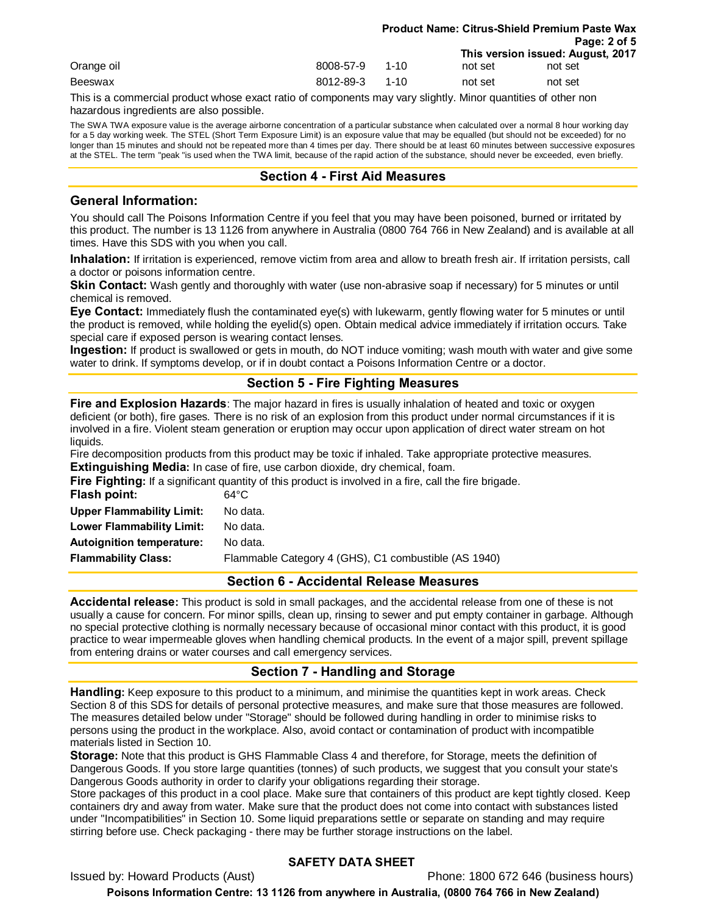|            |           |          |         | <b>Product Name: Citrus-Shield Premium Paste Wax</b> |  |
|------------|-----------|----------|---------|------------------------------------------------------|--|
|            |           |          |         | Page: 2 of 5                                         |  |
|            |           |          |         | This version issued: August, 2017                    |  |
| Orange oil | 8008-57-9 | $1 - 10$ | not set | not set                                              |  |
| Beeswax    | 8012-89-3 | $1 - 10$ | not set | not set                                              |  |

This is a commercial product whose exact ratio of components may vary slightly. Minor quantities of other non hazardous ingredients are also possible.

The SWA TWA exposure value is the average airborne concentration of a particular substance when calculated over a normal 8 hour working day for a 5 day working week. The STEL (Short Term Exposure Limit) is an exposure value that may be equalled (but should not be exceeded) for no longer than 15 minutes and should not be repeated more than 4 times per day. There should be at least 60 minutes between successive exposures at the STEL. The term "peak "is used when the TWA limit, because of the rapid action of the substance, should never be exceeded, even briefly.

## **Section 4 - First Aid Measures**

## **General Information:**

You should call The Poisons Information Centre if you feel that you may have been poisoned, burned or irritated by this product. The number is 13 1126 from anywhere in Australia (0800 764 766 in New Zealand) and is available at all times. Have this SDS with you when you call.

**Inhalation:** If irritation is experienced, remove victim from area and allow to breath fresh air. If irritation persists, call a doctor or poisons information centre.

**Skin Contact:** Wash gently and thoroughly with water (use non-abrasive soap if necessary) for 5 minutes or until chemical is removed.

**Eye Contact:** Immediately flush the contaminated eye(s) with lukewarm, gently flowing water for 5 minutes or until the product is removed, while holding the eyelid(s) open. Obtain medical advice immediately if irritation occurs. Take special care if exposed person is wearing contact lenses.

**Ingestion:** If product is swallowed or gets in mouth, do NOT induce vomiting; wash mouth with water and give some water to drink. If symptoms develop, or if in doubt contact a Poisons Information Centre or a doctor.

## **Section 5 - Fire Fighting Measures**

**Fire and Explosion Hazards**: The major hazard in fires is usually inhalation of heated and toxic or oxygen deficient (or both), fire gases. There is no risk of an explosion from this product under normal circumstances if it is involved in a fire. Violent steam generation or eruption may occur upon application of direct water stream on hot liquids.

Fire decomposition products from this product may be toxic if inhaled. Take appropriate protective measures. **Extinguishing Media:** In case of fire, use carbon dioxide, dry chemical, foam.

**Fire Fighting:** If a significant quantity of this product is involved in a fire, call the fire brigade.

| Flash point:                     | $64^{\circ}$ C                                       |
|----------------------------------|------------------------------------------------------|
| <b>Upper Flammability Limit:</b> | No data.                                             |
| Lower Flammability Limit:        | No data.                                             |
| <b>Autoignition temperature:</b> | No data.                                             |
| <b>Flammability Class:</b>       | Flammable Category 4 (GHS), C1 combustible (AS 1940) |
|                                  |                                                      |

## **Section 6 - Accidental Release Measures**

**Accidental release:** This product is sold in small packages, and the accidental release from one of these is not usually a cause for concern. For minor spills, clean up, rinsing to sewer and put empty container in garbage. Although no special protective clothing is normally necessary because of occasional minor contact with this product, it is good practice to wear impermeable gloves when handling chemical products. In the event of a major spill, prevent spillage from entering drains or water courses and call emergency services.

## **Section 7 - Handling and Storage**

**Handling:** Keep exposure to this product to a minimum, and minimise the quantities kept in work areas. Check Section 8 of this SDS for details of personal protective measures, and make sure that those measures are followed. The measures detailed below under "Storage" should be followed during handling in order to minimise risks to persons using the product in the workplace. Also, avoid contact or contamination of product with incompatible materials listed in Section 10.

**Storage:** Note that this product is GHS Flammable Class 4 and therefore, for Storage, meets the definition of Dangerous Goods. If you store large quantities (tonnes) of such products, we suggest that you consult your state's Dangerous Goods authority in order to clarify your obligations regarding their storage.

Store packages of this product in a cool place. Make sure that containers of this product are kept tightly closed. Keep containers dry and away from water. Make sure that the product does not come into contact with substances listed under "Incompatibilities" in Section 10. Some liquid preparations settle or separate on standing and may require stirring before use. Check packaging - there may be further storage instructions on the label.

## **SAFETY DATA SHEET**

Issued by: Howard Products (Aust) Phone: 1800 672 646 (business hours)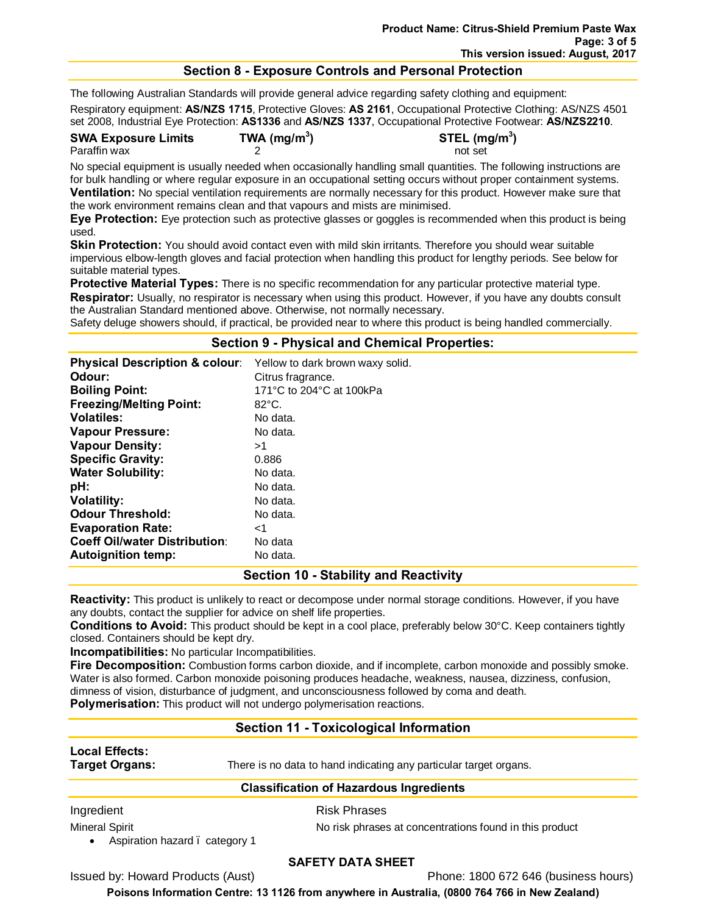## **Section 8 - Exposure Controls and Personal Protection**

The following Australian Standards will provide general advice regarding safety clothing and equipment:

Respiratory equipment: **AS/NZS 1715**, Protective Gloves: **AS 2161**, Occupational Protective Clothing: AS/NZS 4501 set 2008, Industrial Eye Protection: **AS1336** and **AS/NZS 1337**, Occupational Protective Footwear: **AS/NZS2210**.

**SWA Exposure Limits TWA (mg/m3**

**) STEL (mg/m3 )**

Paraffin wax and the contract of the 2 not set of the contract of the contract of the contract of the contract of the contract of the contract of the contract of the contract of the contract of the contract of the contract

No special equipment is usually needed when occasionally handling small quantities. The following instructions are for bulk handling or where regular exposure in an occupational setting occurs without proper containment systems. **Ventilation:** No special ventilation requirements are normally necessary for this product. However make sure that the work environment remains clean and that vapours and mists are minimised.

**Eye Protection:** Eye protection such as protective glasses or goggles is recommended when this product is being used.

**Skin Protection:** You should avoid contact even with mild skin irritants. Therefore you should wear suitable impervious elbow-length gloves and facial protection when handling this product for lengthy periods. See below for suitable material types.

**Protective Material Types:** There is no specific recommendation for any particular protective material type. **Respirator:** Usually, no respirator is necessary when using this product. However, if you have any doubts consult the Australian Standard mentioned above. Otherwise, not normally necessary.

Safety deluge showers should, if practical, be provided near to where this product is being handled commercially.

## **Section 9 - Physical and Chemical Properties:**

| <b>Physical Description &amp; colour:</b> | Yellow to dark brown waxy solid. |
|-------------------------------------------|----------------------------------|
| Odour:                                    | Citrus fragrance.                |
| <b>Boiling Point:</b>                     | 171°C to 204°C at 100kPa         |
| <b>Freezing/Melting Point:</b>            | $82^{\circ}$ C.                  |
| <b>Volatiles:</b>                         | No data.                         |
| <b>Vapour Pressure:</b>                   | No data.                         |
| <b>Vapour Density:</b>                    | >1                               |
| <b>Specific Gravity:</b>                  | 0.886                            |
| <b>Water Solubility:</b>                  | No data.                         |
| pH:                                       | No data.                         |
| <b>Volatility:</b>                        | No data.                         |
| <b>Odour Threshold:</b>                   | No data.                         |
| <b>Evaporation Rate:</b>                  | ا>                               |
| <b>Coeff Oil/water Distribution:</b>      | No data                          |
| <b>Autoignition temp:</b>                 | No data.                         |

## **Section 10 - Stability and Reactivity**

**Reactivity:** This product is unlikely to react or decompose under normal storage conditions. However, if you have any doubts, contact the supplier for advice on shelf life properties.

**Conditions to Avoid:** This product should be kept in a cool place, preferably below 30°C. Keep containers tightly closed. Containers should be kept dry.

**Incompatibilities:** No particular Incompatibilities.

**Fire Decomposition:** Combustion forms carbon dioxide, and if incomplete, carbon monoxide and possibly smoke. Water is also formed. Carbon monoxide poisoning produces headache, weakness, nausea, dizziness, confusion, dimness of vision, disturbance of judgment, and unconsciousness followed by coma and death. **Polymerisation:** This product will not undergo polymerisation reactions.

## **Section 11 - Toxicological Information**

# **Local Effects:**

**Target Organs:** There is no data to hand indicating any particular target organs.

## **Classification of Hazardous Ingredients**

Ingredient **Risk Phrases** 

• Aspiration hazard . category 1

Mineral Spirit No risk phrases at concentrations found in this product

## **SAFETY DATA SHEET**

Issued by: Howard Products (Aust) Phone: 1800 672 646 (business hours)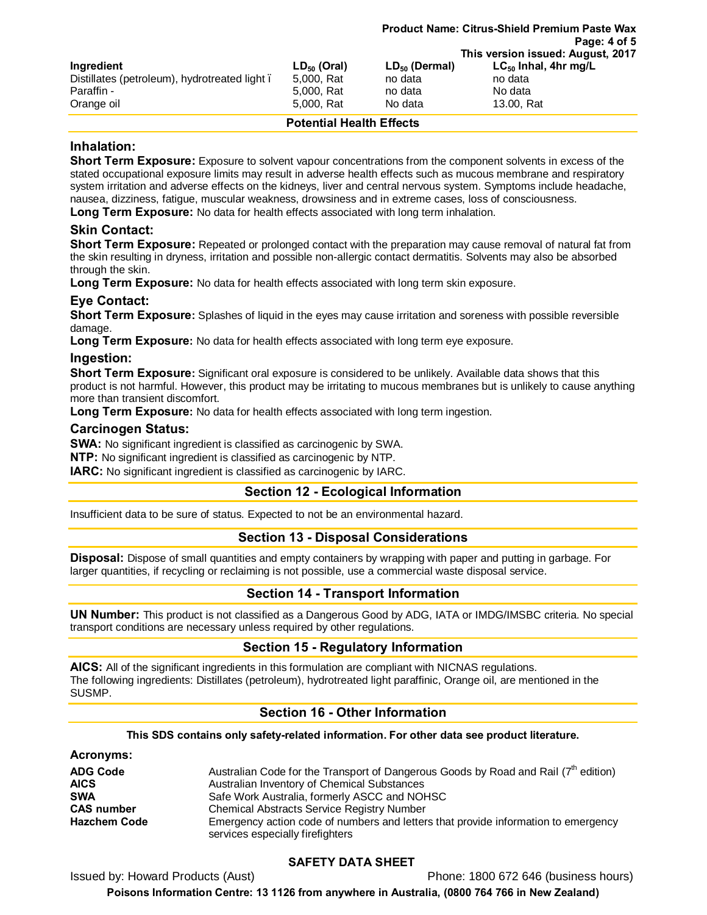|                                              |                  | Page: 4 of 5       |                                   |  |
|----------------------------------------------|------------------|--------------------|-----------------------------------|--|
|                                              |                  |                    | This version issued: August, 2017 |  |
| Ingredient                                   | $LD_{50}$ (Oral) | $LD_{50}$ (Dermal) | $LC_{50}$ Inhal, 4hr mg/L         |  |
| Distillates (petroleum), hydrotreated light. | 5,000, Rat       | no data            | no data                           |  |
| Paraffin -                                   | 5,000, Rat       | no data            | No data                           |  |
| Orange oil                                   | 5,000, Rat       | No data            | 13.00, Rat                        |  |

**Product Name: Citrus-Shield Premium Paste Wax**

## **Potential Health Effects**

## **Inhalation:**

**Short Term Exposure:** Exposure to solvent vapour concentrations from the component solvents in excess of the stated occupational exposure limits may result in adverse health effects such as mucous membrane and respiratory system irritation and adverse effects on the kidneys, liver and central nervous system. Symptoms include headache, nausea, dizziness, fatigue, muscular weakness, drowsiness and in extreme cases, loss of consciousness.

**Long Term Exposure:** No data for health effects associated with long term inhalation.

## **Skin Contact:**

**Short Term Exposure:** Repeated or prolonged contact with the preparation may cause removal of natural fat from the skin resulting in dryness, irritation and possible non-allergic contact dermatitis. Solvents may also be absorbed through the skin.

**Long Term Exposure:** No data for health effects associated with long term skin exposure.

## **Eye Contact:**

**Short Term Exposure:** Splashes of liquid in the eyes may cause irritation and soreness with possible reversible damage.

**Long Term Exposure:** No data for health effects associated with long term eye exposure.

## **Ingestion:**

**Short Term Exposure:** Significant oral exposure is considered to be unlikely. Available data shows that this product is not harmful. However, this product may be irritating to mucous membranes but is unlikely to cause anything more than transient discomfort.

**Long Term Exposure:** No data for health effects associated with long term ingestion.

## **Carcinogen Status:**

**SWA:** No significant ingredient is classified as carcinogenic by SWA.

**NTP:** No significant ingredient is classified as carcinogenic by NTP.

**IARC:** No significant ingredient is classified as carcinogenic by IARC.

## **Section 12 - Ecological Information**

Insufficient data to be sure of status. Expected to not be an environmental hazard.

## **Section 13 - Disposal Considerations**

**Disposal:** Dispose of small quantities and empty containers by wrapping with paper and putting in garbage. For larger quantities, if recycling or reclaiming is not possible, use a commercial waste disposal service.

## **Section 14 - Transport Information**

**UN Number:** This product is not classified as a Dangerous Good by ADG, IATA or IMDG/IMSBC criteria. No special transport conditions are necessary unless required by other regulations.

## **Section 15 - Regulatory Information**

**AICS:** All of the significant ingredients in this formulation are compliant with NICNAS regulations. The following ingredients: Distillates (petroleum), hydrotreated light paraffinic, Orange oil, are mentioned in the SUSMP.

## **Section 16 - Other Information**

#### **This SDS contains only safety-related information. For other data see product literature.**

## **Acronyms:**

| <b>ADG Code</b>     | Australian Code for the Transport of Dangerous Goods by Road and Rail $(7th$ edition)                                   |
|---------------------|-------------------------------------------------------------------------------------------------------------------------|
| <b>AICS</b>         | Australian Inventory of Chemical Substances                                                                             |
| <b>SWA</b>          | Safe Work Australia, formerly ASCC and NOHSC                                                                            |
| <b>CAS number</b>   | <b>Chemical Abstracts Service Registry Number</b>                                                                       |
| <b>Hazchem Code</b> | Emergency action code of numbers and letters that provide information to emergency<br>services especially fire fighters |

## **SAFETY DATA SHEET**

Issued by: Howard Products (Aust) Phone: 1800 672 646 (business hours)